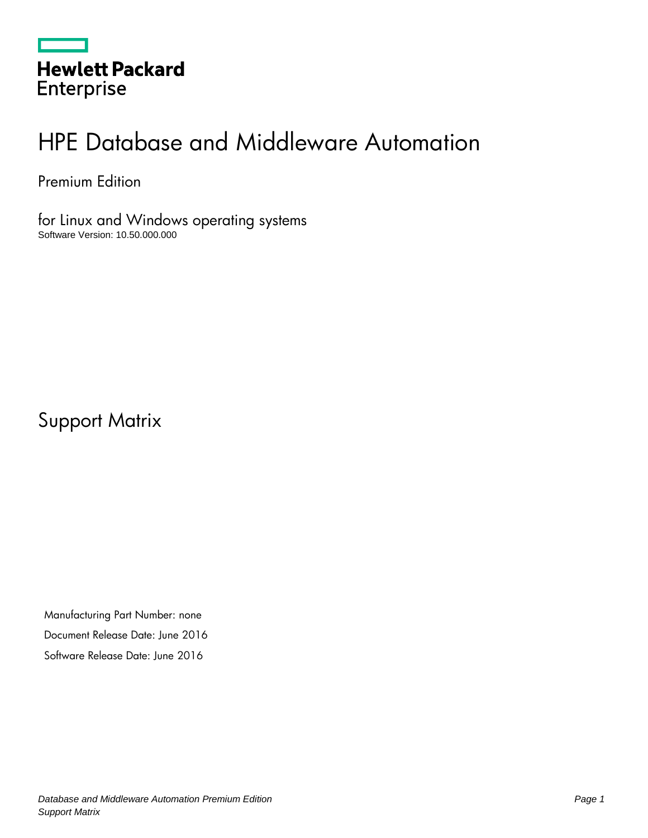|                   | <b>Hewlett Packard</b> |  |
|-------------------|------------------------|--|
| <b>Enterprise</b> |                        |  |

# HPE Database and Middleware Automation

Premium Edition

for Linux and Windows operating systems Software Version: 10.50.000.000

Support Matrix

Manufacturing Part Number: none Document Release Date: June 2016 Software Release Date: June 2016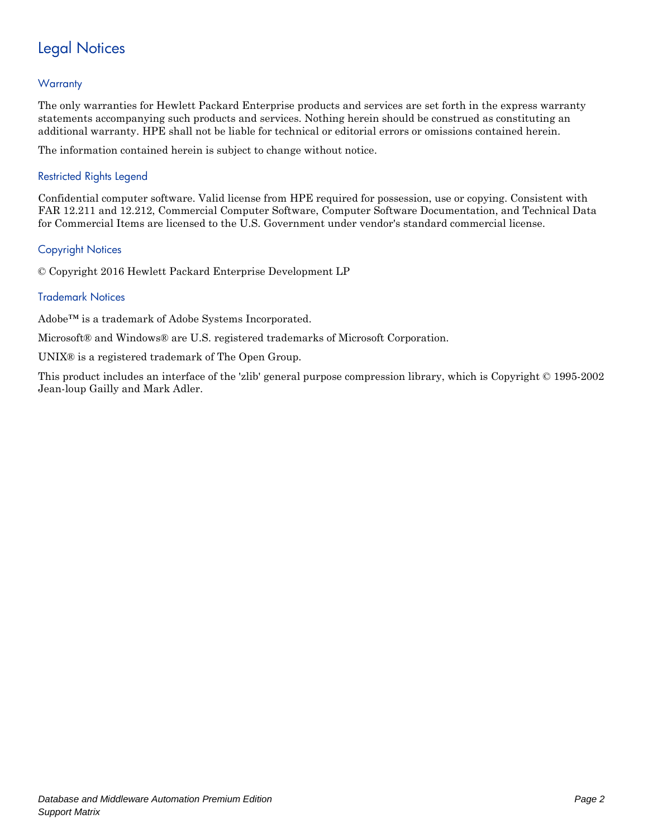# Legal Notices

### **Warranty**

The only warranties for Hewlett Packard Enterprise products and services are set forth in the express warranty statements accompanying such products and services. Nothing herein should be construed as constituting an additional warranty. HPE shall not be liable for technical or editorial errors or omissions contained herein.

The information contained herein is subject to change without notice.

### Restricted Rights Legend

Confidential computer software. Valid license from HPE required for possession, use or copying. Consistent with FAR 12.211 and 12.212, Commercial Computer Software, Computer Software Documentation, and Technical Data for Commercial Items are licensed to the U.S. Government under vendor's standard commercial license.

#### Copyright Notices

© Copyright 2016 Hewlett Packard Enterprise Development LP

### Trademark Notices

Adobe™ is a trademark of Adobe Systems Incorporated.

Microsoft® and Windows® are U.S. registered trademarks of Microsoft Corporation.

UNIX® is a registered trademark of The Open Group.

This product includes an interface of the 'zlib' general purpose compression library, which is Copyright © 1995-2002 Jean-loup Gailly and Mark Adler.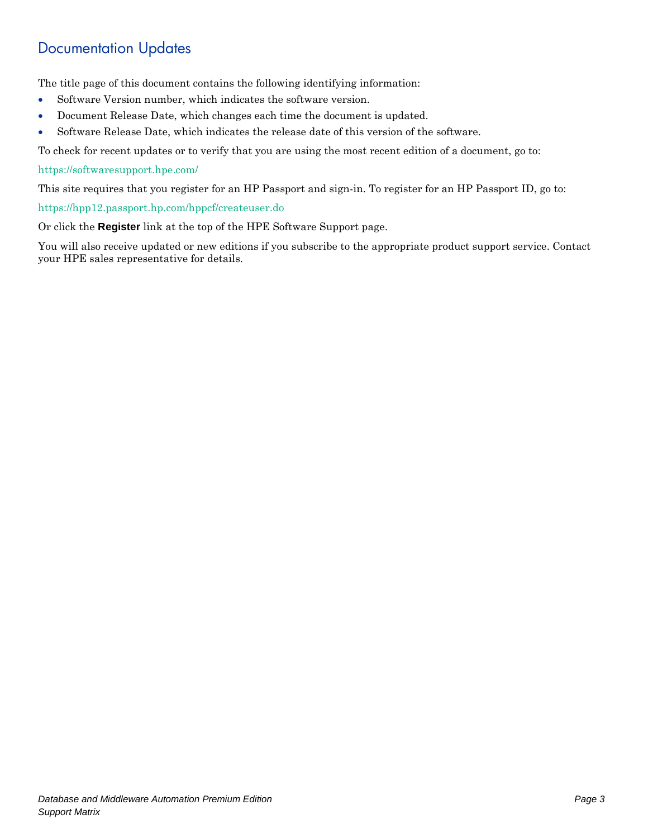# Documentation Updates

The title page of this document contains the following identifying information:

- Software Version number, which indicates the software version.
- Document Release Date, which changes each time the document is updated.
- Software Release Date, which indicates the release date of this version of the software.

To check for recent updates or to verify that you are using the most recent edition of a document, go to:

#### <https://softwaresupport.hpe.com/>

This site requires that you register for an HP Passport and sign-in. To register for an HP Passport ID, go to:

<https://hpp12.passport.hp.com/hppcf/createuser.do>

Or click the **Register** link at the top of the HPE Software Support page.

You will also receive updated or new editions if you subscribe to the appropriate product support service. Contact your HPE sales representative for details.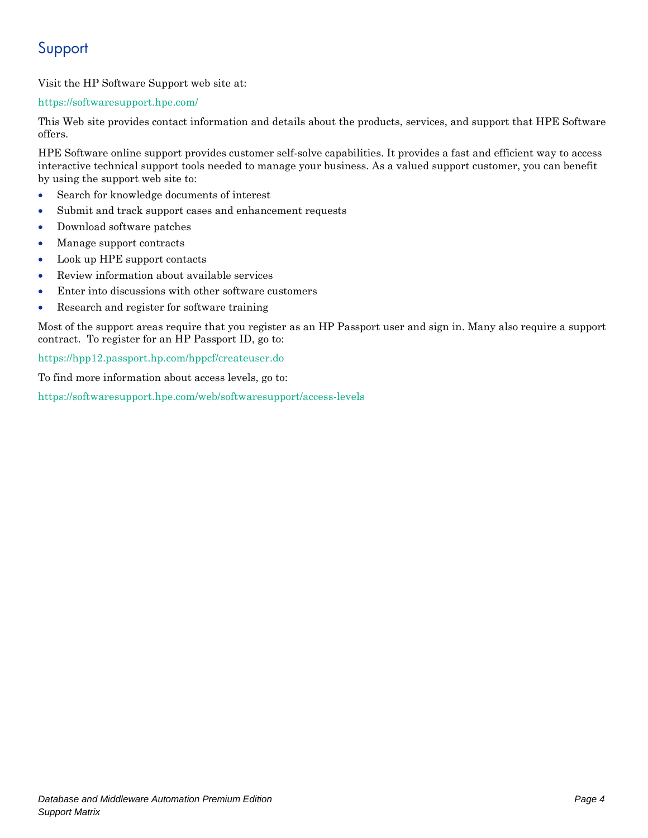# Support

Visit the HP Software Support web site at:

### <https://softwaresupport.hpe.com/>

This Web site provides contact information and details about the products, services, and support that HPE Software offers.

HPE Software online support provides customer self-solve capabilities. It provides a fast and efficient way to access interactive technical support tools needed to manage your business. As a valued support customer, you can benefit by using the support web site to:

- Search for knowledge documents of interest
- Submit and track support cases and enhancement requests
- Download software patches
- Manage support contracts
- Look up HPE support contacts
- Review information about available services
- Enter into discussions with other software customers
- Research and register for software training

Most of the support areas require that you register as an HP Passport user and sign in. Many also require a support contract. To register for an HP Passport ID, go to:

#### <https://hpp12.passport.hp.com/hppcf/createuser.do>

To find more information about access levels, go to:

<https://softwaresupport.hpe.com/web/softwaresupport/access-levels>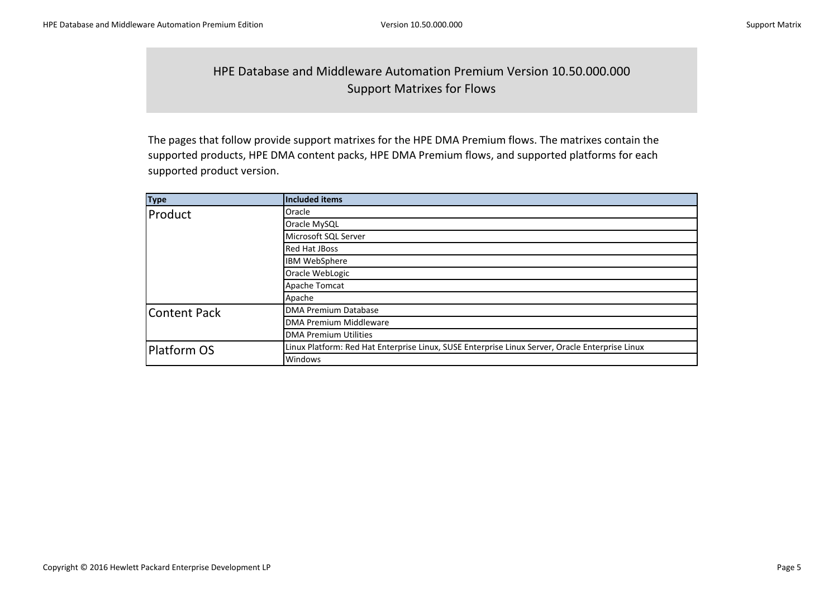### HPE Database and Middleware Automation Premium Version 10.50.000.000 Support Matrixes for Flows

The pages that follow provide support matrixes for the HPE DMA Premium flows. The matrixes contain the supported products, HPE DMA content packs, HPE DMA Premium flows, and supported platforms for each supported product version.

| <b>Type</b>         | <b>Included items</b>                                                                           |
|---------------------|-------------------------------------------------------------------------------------------------|
| Product             | <b>Oracle</b>                                                                                   |
|                     | Oracle MySQL                                                                                    |
|                     | Microsoft SQL Server                                                                            |
|                     | <b>Red Hat JBoss</b>                                                                            |
|                     | <b>IBM WebSphere</b>                                                                            |
|                     | Oracle WebLogic                                                                                 |
|                     | Apache Tomcat                                                                                   |
|                     | Apache                                                                                          |
| <b>Content Pack</b> | DMA Premium Database                                                                            |
|                     | <b>DMA Premium Middleware</b>                                                                   |
|                     | <b>DMA Premium Utilities</b>                                                                    |
| Platform OS         | Linux Platform: Red Hat Enterprise Linux, SUSE Enterprise Linux Server, Oracle Enterprise Linux |
|                     | Windows                                                                                         |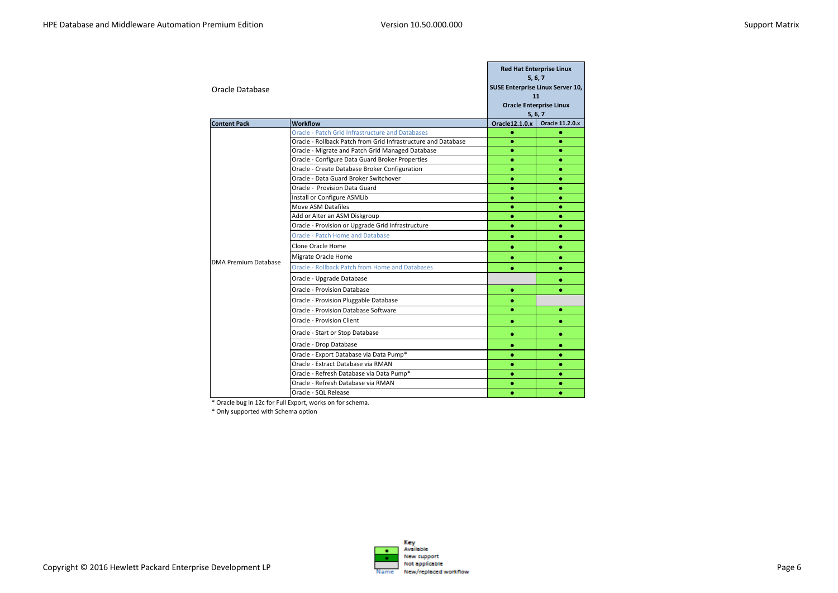| Oracle Database             |                                                                                        |                | <b>Red Hat Enterprise Linux</b><br>5, 6, 7<br>SUSE Enterprise Linux Server 10,<br>11<br><b>Oracle Enterprise Linux</b><br>5, 6, 7 |
|-----------------------------|----------------------------------------------------------------------------------------|----------------|-----------------------------------------------------------------------------------------------------------------------------------|
| <b>Content Pack</b>         | <b>Workflow</b>                                                                        | Oracle12.1.0.x | <b>Oracle 11.2.0.x</b>                                                                                                            |
|                             | Oracle - Patch Grid Infrastructure and Databases                                       | ۰              | ۰                                                                                                                                 |
|                             | Oracle - Rollback Patch from Grid Infrastructure and Database                          | ۰              | ۰                                                                                                                                 |
|                             | Oracle - Migrate and Patch Grid Managed Database                                       | ۰              | ۰                                                                                                                                 |
|                             | Oracle - Configure Data Guard Broker Properties                                        | ۰              | $\bullet$                                                                                                                         |
|                             | Oracle - Create Database Broker Configuration<br>Oracle - Data Guard Broker Switchover | $\bullet$      | $\bullet$                                                                                                                         |
|                             | Oracle - Provision Data Guard                                                          | ۰              | ۰                                                                                                                                 |
|                             |                                                                                        | ۰              | ۰                                                                                                                                 |
|                             | Install or Configure ASMLib<br>Move ASM Datafiles                                      |                | ۰<br>۰                                                                                                                            |
|                             | Add or Alter an ASM Diskgroup                                                          | ۰              | $\bullet$                                                                                                                         |
|                             | Oracle - Provision or Upgrade Grid Infrastructure                                      | $\bullet$      | ۰                                                                                                                                 |
|                             | <b>Oracle - Patch Home and Database</b>                                                | ۰              | ۰                                                                                                                                 |
|                             | Clone Oracle Home                                                                      | ۰              | ۰                                                                                                                                 |
|                             | Migrate Oracle Home                                                                    | ۰              | ۰                                                                                                                                 |
| <b>DMA Premium Database</b> | Oracle - Rollback Patch from Home and Databases                                        | ۰              | $\bullet$                                                                                                                         |
|                             | Oracle - Upgrade Database                                                              |                | ۰                                                                                                                                 |
|                             | <b>Oracle - Provision Database</b>                                                     | ۰              | ۰                                                                                                                                 |
|                             | Oracle - Provision Pluggable Database                                                  | ۰              |                                                                                                                                   |
|                             | Oracle - Provision Database Software                                                   | $\bullet$      | ۰                                                                                                                                 |
|                             | Oracle - Provision Client                                                              | $\bullet$      | ۰                                                                                                                                 |
|                             | Oracle - Start or Stop Database                                                        | ۰              | ۰                                                                                                                                 |
|                             | Oracle - Drop Database                                                                 | ۰              | $\bullet$                                                                                                                         |
|                             | Oracle - Export Database via Data Pump*                                                | ۰              | ۰                                                                                                                                 |
|                             | Oracle - Extract Database via RMAN                                                     | ۰              | ۰                                                                                                                                 |
|                             | Oracle - Refresh Database via Data Pump*                                               | ۰              | $\bullet$                                                                                                                         |
|                             | Oracle - Refresh Database via RMAN                                                     |                | ۰                                                                                                                                 |
|                             | Oracle - SQL Release                                                                   | ٠              | ۰                                                                                                                                 |

\* Oracle bug in 12c for Full Export, works on for schema.

\* Only supported with Schema option

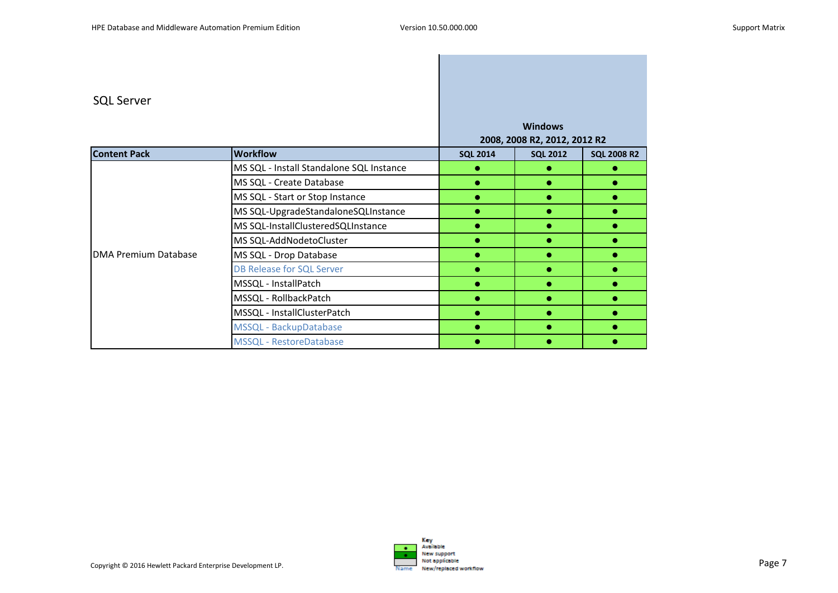### SQL Server

| ייעב טכו עכו         |                                          |                 |                                                |                    |
|----------------------|------------------------------------------|-----------------|------------------------------------------------|--------------------|
|                      |                                          |                 | <b>Windows</b><br>2008, 2008 R2, 2012, 2012 R2 |                    |
| <b>Content Pack</b>  | <b>Workflow</b>                          | <b>SQL 2014</b> | <b>SQL 2012</b>                                | <b>SQL 2008 R2</b> |
|                      | MS SQL - Install Standalone SQL Instance |                 |                                                |                    |
|                      | MS SQL - Create Database                 |                 |                                                |                    |
|                      | MS SQL - Start or Stop Instance          | $\bullet$       |                                                |                    |
|                      | MS SQL-UpgradeStandaloneSQLInstance      |                 |                                                |                    |
|                      | MS SQL-InstallClusteredSQLInstance       |                 |                                                |                    |
|                      | MS SQL-AddNodetoCluster                  |                 |                                                |                    |
| DMA Premium Database | MS SQL - Drop Database                   |                 |                                                |                    |
|                      | <b>DB Release for SQL Server</b>         | $\bullet$       |                                                |                    |
|                      | MSSQL - InstallPatch                     |                 |                                                |                    |
|                      | MSSQL - RollbackPatch                    |                 |                                                |                    |
|                      | MSSQL - InstallClusterPatch              |                 |                                                |                    |
|                      | MSSQL - BackupDatabase                   |                 |                                                |                    |
|                      | MSSQL - RestoreDatabase                  |                 |                                                |                    |

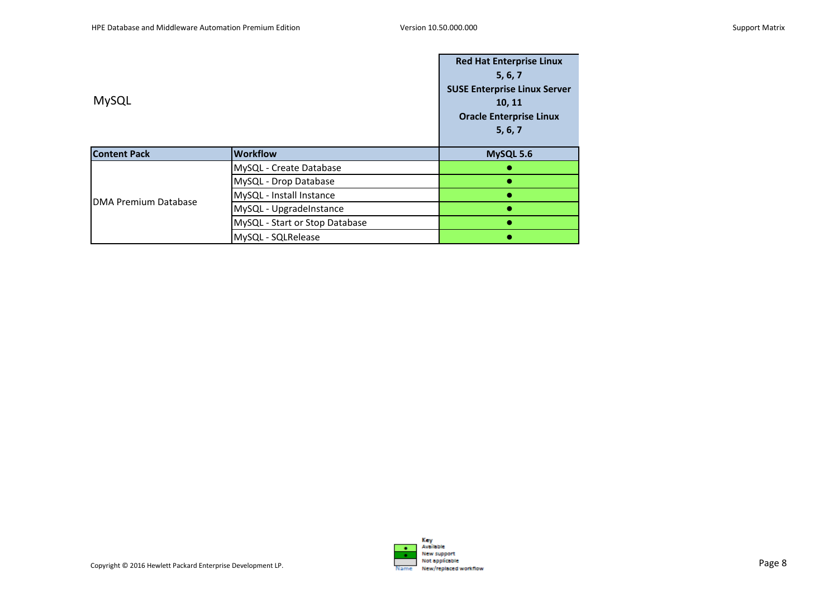|                             |                                | <b>Red Hat Enterprise Linux</b>     |
|-----------------------------|--------------------------------|-------------------------------------|
|                             | 5, 6, 7                        |                                     |
|                             |                                | <b>SUSE Enterprise Linux Server</b> |
| <b>MySQL</b>                |                                | 10, 11                              |
|                             |                                | <b>Oracle Enterprise Linux</b>      |
|                             |                                | 5, 6, 7                             |
|                             |                                |                                     |
| <b>Content Pack</b>         | <b>Workflow</b>                | MySQL 5.6                           |
|                             | MySQL - Create Database        |                                     |
|                             | MySQL - Drop Database          |                                     |
| <b>DMA Premium Database</b> | MySQL - Install Instance       |                                     |
|                             | MySQL - UpgradeInstance        |                                     |
|                             | MySQL - Start or Stop Database |                                     |
|                             | MySQL - SQLRelease             |                                     |

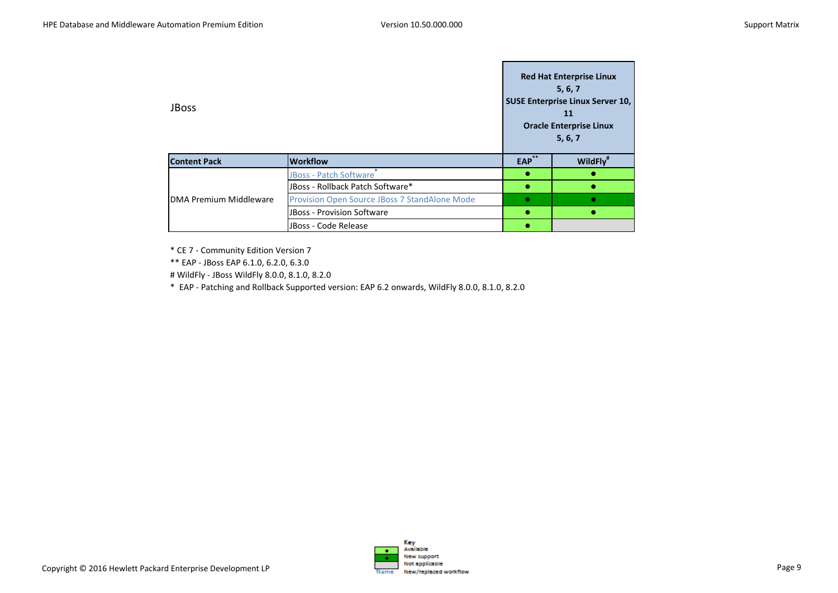| <b>JBoss</b>           |                                                      |            | <b>Red Hat Enterprise Linux</b><br>5, 6, 7<br><b>SUSE Enterprise Linux Server 10,</b><br>11<br><b>Oracle Enterprise Linux</b><br>5, 6, 7 |
|------------------------|------------------------------------------------------|------------|------------------------------------------------------------------------------------------------------------------------------------------|
| <b>Content Pack</b>    | <b>Workflow</b>                                      | <b>EAP</b> | WildFly"                                                                                                                                 |
|                        | <b>JBoss - Patch Software</b>                        |            |                                                                                                                                          |
|                        | JBoss - Rollback Patch Software*                     |            |                                                                                                                                          |
| DMA Premium Middleware | <b>Provision Open Source JBoss 7 StandAlone Mode</b> | ●          |                                                                                                                                          |
|                        | <b>JBoss - Provision Software</b>                    |            |                                                                                                                                          |
|                        | JBoss - Code Release                                 |            |                                                                                                                                          |

\* CE 7 - Community Edition Version 7

\*\* EAP - JBoss EAP 6.1.0, 6.2.0, 6.3.0

# WildFly - JBoss WildFly 8.0.0, 8.1.0, 8.2.0

\* EAP - Patching and Rollback Supported version: EAP 6.2 onwards, WildFly 8.0.0, 8.1.0, 8.2.0

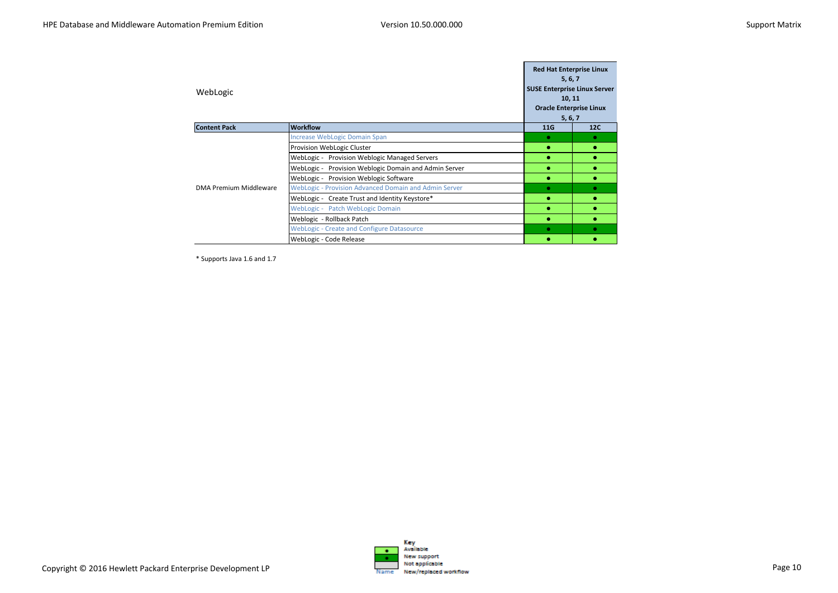| WebLogic               |                                                       | <b>Red Hat Enterprise Linux</b><br>5, 6, 7<br><b>SUSE Enterprise Linux Server</b><br>10, 11<br><b>Oracle Enterprise Linux</b><br>5, 6, 7 |     |
|------------------------|-------------------------------------------------------|------------------------------------------------------------------------------------------------------------------------------------------|-----|
| <b>Content Pack</b>    | <b>Workflow</b>                                       | 11G                                                                                                                                      | 12C |
|                        | Increase WebLogic Domain Span                         | ۰                                                                                                                                        | ٠   |
|                        | Provision WebLogic Cluster                            |                                                                                                                                          |     |
|                        | WebLogic - Provision Weblogic Managed Servers         |                                                                                                                                          |     |
|                        | WebLogic - Provision Weblogic Domain and Admin Server |                                                                                                                                          |     |
|                        | WebLogic - Provision Weblogic Software                |                                                                                                                                          |     |
| DMA Premium Middleware | WebLogic - Provision Advanced Domain and Admin Server | $\bullet$                                                                                                                                | ۰   |
|                        | WebLogic - Create Trust and Identity Keystore*        |                                                                                                                                          |     |
|                        | WebLogic - Patch WebLogic Domain                      |                                                                                                                                          |     |
|                        | Weblogic - Rollback Patch                             |                                                                                                                                          |     |
|                        | <b>WebLogic - Create and Configure Datasource</b>     | $\bullet$                                                                                                                                | ٠   |
|                        | WebLogic - Code Release                               |                                                                                                                                          |     |

\* Supports Java 1.6 and 1.7

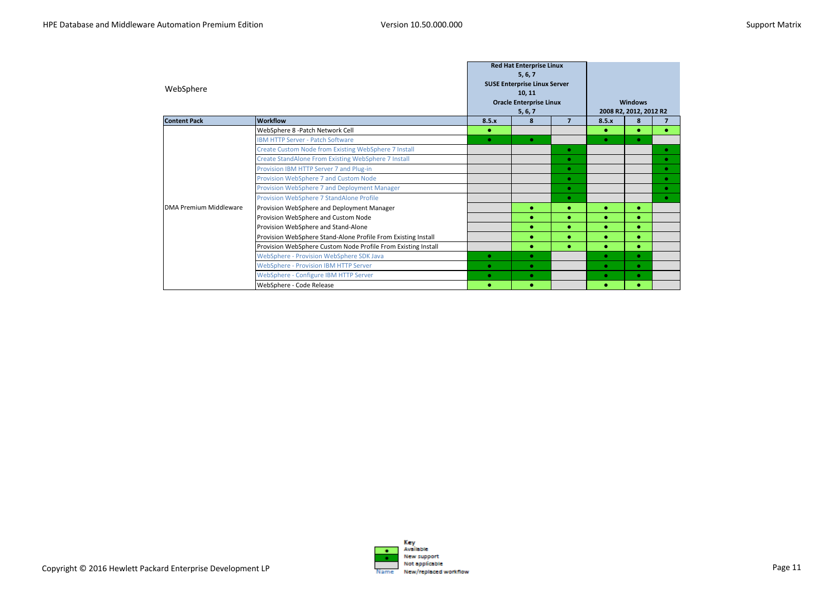| WebSphere              |                                                               |           | <b>Red Hat Enterprise Linux</b><br>5, 6, 7<br><b>SUSE Enterprise Linux Server</b><br>10, 11<br><b>Oracle Enterprise Linux</b><br>5, 6, 7 |                |           | <b>Windows</b><br>2008 R2, 2012, 2012 R2 |           |
|------------------------|---------------------------------------------------------------|-----------|------------------------------------------------------------------------------------------------------------------------------------------|----------------|-----------|------------------------------------------|-----------|
| <b>Content Pack</b>    | <b>Workflow</b>                                               | 8.5.x     | 8                                                                                                                                        | $\overline{7}$ | 8.5.x     | 8                                        |           |
|                        | WebSphere 8 - Patch Network Cell                              | ۰         |                                                                                                                                          |                | ۰         | ٠                                        | $\bullet$ |
|                        | <b>IBM HTTP Server - Patch Software</b>                       | $\bullet$ | $\bullet$                                                                                                                                |                | $\bullet$ | $\bullet$                                |           |
|                        | Create Custom Node from Existing WebSphere 7 Install          |           |                                                                                                                                          | $\bullet$      |           |                                          | $\bullet$ |
|                        | Create StandAlone From Existing WebSphere 7 Install           |           |                                                                                                                                          | $\bullet$      |           |                                          | $\bullet$ |
|                        | Provision IBM HTTP Server 7 and Plug-in                       |           |                                                                                                                                          | $\bullet$      |           |                                          | $\bullet$ |
|                        | Provision WebSphere 7 and Custom Node                         |           |                                                                                                                                          | $\bullet$      |           |                                          | $\bullet$ |
|                        | Provision WebSphere 7 and Deployment Manager                  |           |                                                                                                                                          | $\bullet$      |           |                                          | ۰         |
|                        | Provision WebSphere 7 StandAlone Profile                      |           |                                                                                                                                          | $\bullet$      |           |                                          | $\bullet$ |
| DMA Premium Middleware | Provision WebSphere and Deployment Manager                    |           | ۰                                                                                                                                        | ٠              | ۰         | ٠                                        |           |
|                        | Provision WebSphere and Custom Node                           |           |                                                                                                                                          |                | ٠         |                                          |           |
|                        | Provision WebSphere and Stand-Alone                           |           | $\bullet$                                                                                                                                | $\bullet$      | $\bullet$ | $\bullet$                                |           |
|                        | Provision WebSphere Stand-Alone Profile From Existing Install |           | ٠                                                                                                                                        |                | ۰         | ۰                                        |           |
|                        | Provision WebSphere Custom Node Profile From Existing Install |           |                                                                                                                                          | $\bullet$      | ۰         | ٠                                        |           |
|                        | WebSphere - Provision WebSphere SDK Java                      | $\bullet$ | $\bullet$                                                                                                                                |                | $\bullet$ | $\bullet$                                |           |
|                        | <b>WebSphere - Provision IBM HTTP Server</b>                  | ۰         | $\bullet$                                                                                                                                |                | $\bullet$ | $\bullet$                                |           |
|                        | WebSphere - Configure IBM HTTP Server                         | $\bullet$ | $\bullet$                                                                                                                                |                | $\bullet$ | $\bullet$                                |           |
|                        | WebSphere - Code Release                                      | ٠         | ٠                                                                                                                                        |                | ۰         |                                          |           |

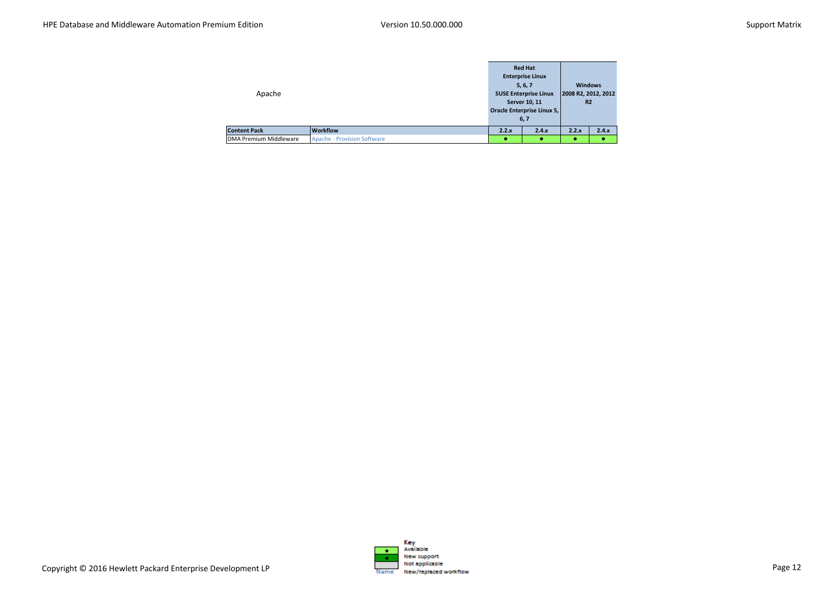| Apache                        |                                    |       | <b>Red Hat</b><br><b>Enterprise Linux</b><br>5, 6, 7<br><b>SUSE Enterprise Linux</b><br>Server 10, 11<br><b>Oracle Enterprise Linux 5,</b><br>6,7 | <b>Windows</b><br>2008 R2, 2012, 2012<br><b>R2</b> |       |
|-------------------------------|------------------------------------|-------|---------------------------------------------------------------------------------------------------------------------------------------------------|----------------------------------------------------|-------|
| <b>Content Pack</b>           | <b>Workflow</b>                    | 2.2.x | 2.4.x                                                                                                                                             | 2.2.x                                              | 2.4.x |
| <b>DMA Premium Middleware</b> | <b>Apache - Provision Software</b> |       | ÷                                                                                                                                                 |                                                    |       |

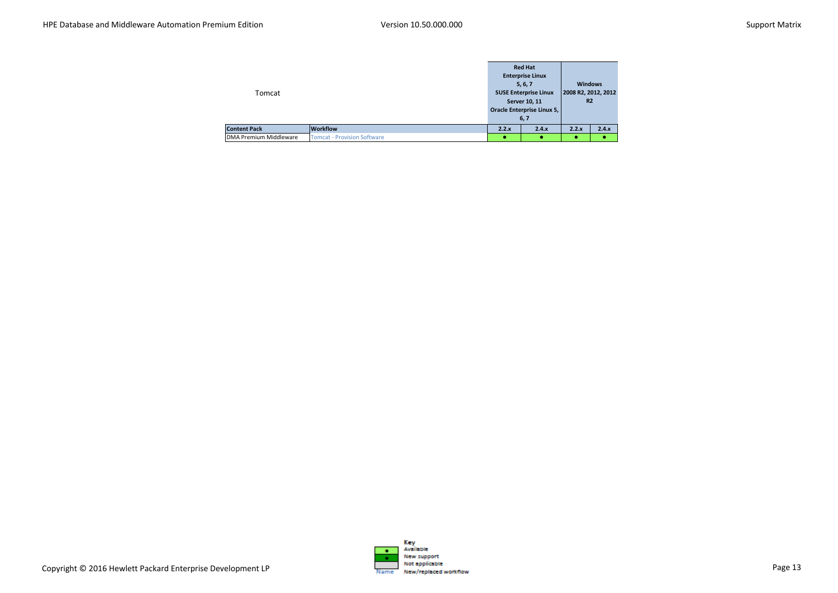| Tomcat                        |                                    |       | <b>Red Hat</b><br><b>Enterprise Linux</b><br>5, 6, 7<br><b>SUSE Enterprise Linux</b><br>Server 10, 11<br>Oracle Enterprise Linux 5,<br>6,7 | <b>Windows</b><br>2008 R2, 2012, 2012<br>R <sub>2</sub> |       |
|-------------------------------|------------------------------------|-------|--------------------------------------------------------------------------------------------------------------------------------------------|---------------------------------------------------------|-------|
| <b>Content Pack</b>           | <b>Workflow</b>                    | 2.2.x | 2.4.x                                                                                                                                      | 2.2.x                                                   | 2.4.x |
| <b>DMA Premium Middleware</b> | <b>Tomcat - Provision Software</b> |       | ٠                                                                                                                                          |                                                         |       |

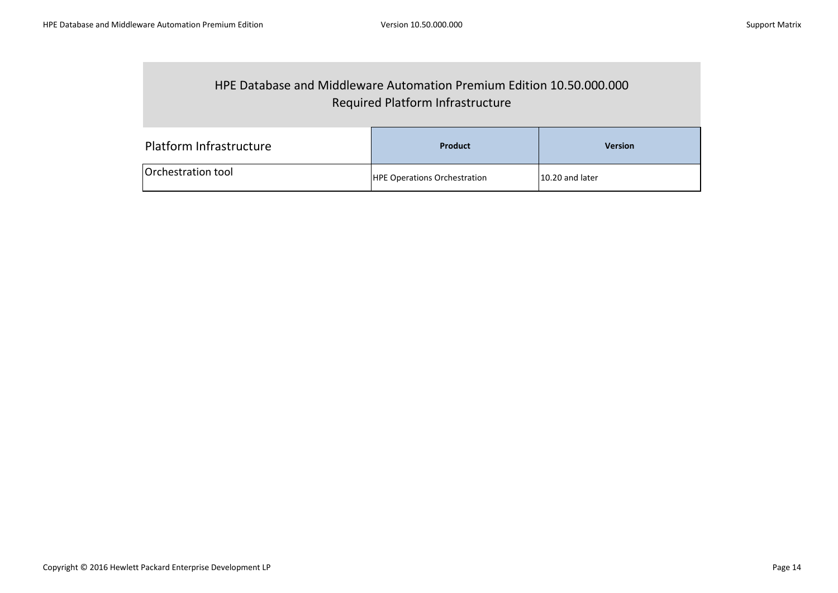## HPE Database and Middleware Automation Premium Edition 10.50.000.000 Required Platform Infrastructure

| Platform Infrastructure   | Product                             | <b>Version</b>  |
|---------------------------|-------------------------------------|-----------------|
| <b>Orchestration tool</b> | <b>HPE Operations Orchestration</b> | 10.20 and later |